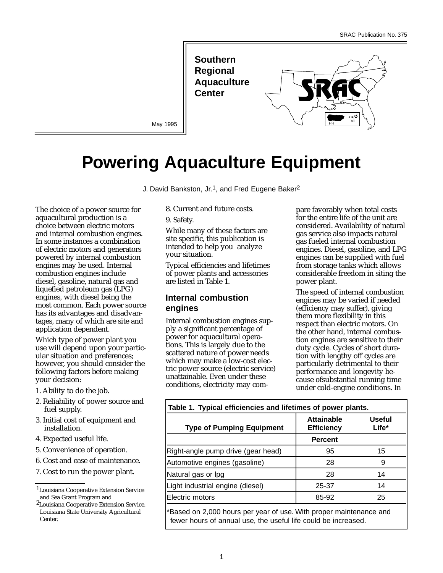**Southern Regional Aquaculture Center** 



May 1995

# **Powering Aquaculture Equipment**

J. David Bankston, Jr.<sup>1</sup>, and Fred Eugene Baker<sup>2</sup>

The choice of a power source for aquacultural production is a choice between electric motors and internal combustion engines. In some instances a combination of electric motors and generators powered by internal combustion engines may be used. Internal combustion engines include diesel, gasoline, natural gas and liquefied petroleum gas (LPG) engines, with diesel being the most common. Each power source has its advantages and disadvantages, many of which are site and application dependent.

Which type of power plant you use will depend upon your particular situation and preferences; however, you should consider the following factors before making your decision:

- 1. Ability to do the job.
- 2. Reliability of power source and fuel supply.
- 3. Initial cost of equipment and installation.
- 4. Expected useful life.
- 5. Convenience of operation.
- 6. Cost and ease of maintenance.
- 7. Cost to run the power plant.

8. Current and future costs.

9. Safety.

While many of these factors are site specific, this publication is intended to help you analyze your situation.

Typical efficiencies and lifetimes of power plants and accessories are listed in Table 1.

# **Internal combustion engines**

Internal combustion engines supply a significant percentage of power for aquacultural operations. This is largely due to the scattered nature of power needs which may make a low-cost electric power source (electric service) unattainable. Even under these conditions, electricity may compare favorably when total costs for the entire life of the unit are considered. Availability of natural gas service also impacts natural gas fueled internal combustion engines. Diesel, gasoline, and LPG engines can be supplied with fuel from storage tanks which allows considerable freedom in siting the power plant.

The speed of internal combustion engines may be varied if needed (efficiency may suffer), giving them more flexibility in this respect than electric motors. On the other hand, internal combustion engines are sensitive to their duty cycle. Cycles of short duration with lengthy off cycles are particularly detrimental to their performance and longevity because ofsubstantial running time under cold-engine conditions. In

| Table 1. Typical efficiencies and lifetimes of power plants. |                                        |                        |  |
|--------------------------------------------------------------|----------------------------------------|------------------------|--|
| <b>Type of Pumping Equipment</b>                             | <b>Attainable</b><br><b>Efficiency</b> | <b>Useful</b><br>Life* |  |
|                                                              | <b>Percent</b>                         |                        |  |
| Right-angle pump drive (gear head)                           | 95                                     | 15                     |  |
| Automotive engines (gasoline)                                | 28                                     | 9                      |  |
| Natural gas or lpg                                           | 28                                     | 14                     |  |
| Light industrial engine (diesel)                             | 25-37                                  | 14                     |  |
| Electric motors                                              | 85-92                                  | 25                     |  |

Based on 2,000 hours per year of use. With proper maintenance and fewer hours of annual use, the useful life could be increased.

<sup>1</sup>Louisiana Cooperative Extension Service and Sea Grant Program and

<sup>2</sup>Louisiana Cooperative Extension Service, Louisiana State University Agricultural Center.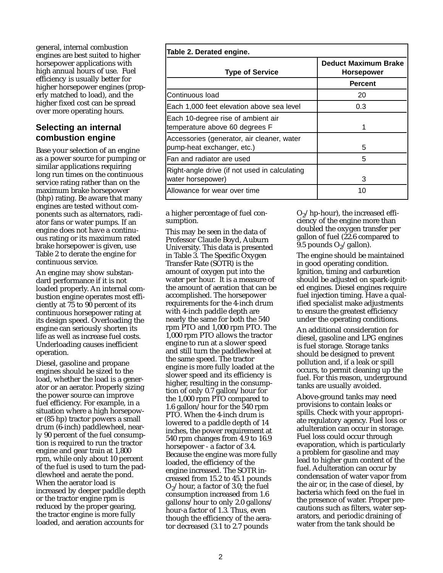general, internal combustion engines are best suited to higher horsepower applications with high annual hours of use. Fuel efficiency is usually better for higher horsepower engines (properly matched to load), and the higher fixed cost can be spread over more operating hours.

# **Selecting an internal combustion engine**

Base your selection of an engine as a power source for pumping or similar applications requiring long run times on the continuous service rating rather than on the maximum brake horsepower (bhp) rating. Be aware that many engines are tested without components such as alternators, radiator fans or water pumps. If an engine does not have a continuous rating or its maximum rated brake horsepower is given, use Table 2 to derate the engine for continuous service.

An engine may show substandard performance if it is not loaded properly. An internal combustion engine operates most efficiently at 75 to 90 percent of its continuous horsepower rating at its design speed. Overloading the engine can seriously shorten its life as well as increase fuel costs. Underloading causes inefficient operation.

Diesel, gasoline and propane engines should be sized to the load, whether the load is a generator or an aerator. Properly sizing the power source can improve fuel efficiency. For example, in a situation where a high horsepower (85 hp) tractor powers a small drum (6-inch) paddlewheel, nearly 90 percent of the fuel consumption is required to run the tractor engine and gear train at 1,800 rpm, while only about 10 percent of the fuel is used to turn the paddlewheel and aerate the pond. When the aerator load is increased by deeper paddle depth or the tractor engine rpm is reduced by the proper gearing, the tractor engine is more fully loaded, and aeration accounts for

| Table 2. Derated engine.                                                 |                                           |  |
|--------------------------------------------------------------------------|-------------------------------------------|--|
| <b>Type of Service</b>                                                   | Deduct Maximum Brake<br><b>Horsepower</b> |  |
|                                                                          | <b>Percent</b>                            |  |
| Continuous load                                                          | 20                                        |  |
| Each 1,000 feet elevation above sea level                                | 0.3                                       |  |
| Each 10-degree rise of ambient air<br>temperature above 60 degrees F     |                                           |  |
| Accessories (generator, air cleaner, water<br>pump-heat exchanger, etc.) | 5                                         |  |
| Fan and radiator are used                                                | 5                                         |  |
| Right-angle drive (if not used in calculating<br>water horsepower)       | 3                                         |  |
| Allowance for wear over time                                             | 10                                        |  |

a higher percentage of fuel consumption.

This may be seen in the data of Professor Claude Boyd, Auburn University. This data is presented in Table 3. The Specific Oxygen Transfer Rate (SOTR) is the amount of oxygen put into the water per hour. It is a measure of the amount of aeration that can be accomplished. The horsepower requirements for the 4-inch drum with 4-inch paddle depth are nearly the same for both the 540 rpm PTO and 1,000 rpm PTO. The 1,000 rpm PTO allows the tractor engine to run at a slower speed and still turn the paddlewheel at the same speed. The tractor engine is more fully loaded at the slower speed and its efficiency is higher, resulting in the consumption of only 0.7 gallon/hour for the 1,000 rpm PTO compared to 1.6 gallon/hour for the 540 rpm PTO. When the 4-inch drum is lowered to a paddle depth of 14 inches, the power requirement at 540 rpm changes from 4.9 to 16.9 horsepower - a factor of 3.4. Because the engine was more fully loaded, the efficiency of the engine increased. The SOTR increased from 15.2 to 45.1 pounds  $O<sub>2</sub>$ /hour, a factor of 3.0; the fuel consumption increased from 1.6 gallons/hour to only 2.0 gallons/ hour-a factor of 1.3. Thus, even though the efficiency of the aerator decreased (3.1 to 2.7 pounds

 $O_2$ /hp-hour), the increased efficiency of the engine more than doubled the oxygen transfer per gallon of fuel (22.6 compared to 9.5 pounds  $O_2$ /gallon).

The engine should be maintained in good operating condition. Ignition, timing and carburetion should be adjusted on spark-ignited engines. Diesel engines require fuel injection timing. Have a qualified specialist make adjustments to ensure the greatest efficiency under the operating conditions.

An additional consideration for diesel, gasoline and LPG engines is fuel storage. Storage tanks should be designed to prevent pollution and, if a leak or spill occurs, to permit cleaning up the fuel. For this reason, underground tanks are usually avoided.

Above-ground tanks may need provisions to contain leaks or spills. Check with your appropriate regulatory agency. Fuel loss or adulteration can occur in storage. Fuel loss could occur through evaporation, which is particularly a problem for gasoline and may lead to higher gum content of the fuel. Adulteration can occur by condensation of water vapor from the air or, in the case of diesel, by bacteria which feed on the fuel in the presence of water. Proper precautions such as filters, water separators, and periodic draining of water from the tank should be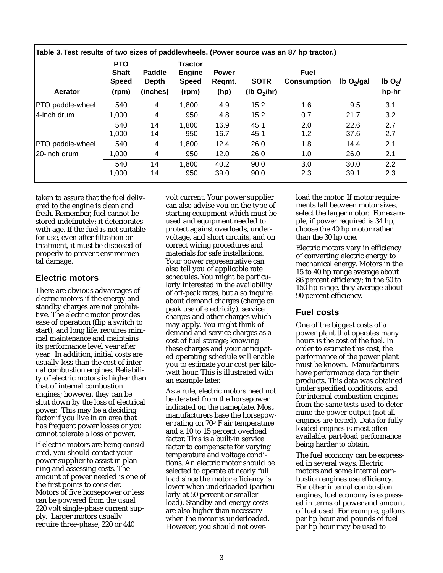|                         | <b>PTO</b><br><b>Shaft</b> | Paddle                   | <b>Tractor</b><br><b>Engine</b> | <b>Power</b>   |                               | <b>Fuel</b>        |                          |                     |
|-------------------------|----------------------------|--------------------------|---------------------------------|----------------|-------------------------------|--------------------|--------------------------|---------------------|
| Aerator                 | <b>Speed</b><br>(rpm)      | <b>Depth</b><br>(inches) | <b>Speed</b><br>(rpm)           | Regmt.<br>(hp) | <b>SOTR</b><br>(lb $O_2/hr$ ) | <b>Consumption</b> | $Ib$ O <sub>2</sub> /gal | $lb \, 02$<br>hp-hr |
| <b>PTO</b> paddle-wheel | 540                        | 4                        | 1,800                           | 4.9            | 15.2                          | 1.6                | 9.5                      | 3.1                 |
| l4-inch drum            | 1,000                      | 4                        | 950                             | 4.8            | 15.2                          | 0.7                | 21.7                     | 3.2                 |
|                         | 540<br>1,000               | 14<br>14                 | 1,800<br>950                    | 16.9<br>16.7   | 45.1<br>45.1                  | 2.0<br>1.2         | 22.6<br>37.6             | 2.7<br>2.7          |
| PTO paddle-wheel        | 540                        | 4                        | 1,800                           | 12.4           | 26.0                          | 1.8                | 14.4                     | 2.1                 |
| I20-inch drum           | 1,000                      | 4                        | 950                             | 12.0           | 26.0                          | 1.0                | 26.0                     | 2.1                 |
|                         | 540<br>1,000               | 14<br>14                 | 1,800<br>950                    | 40.2<br>39.0   | 90.0<br>90.0                  | 3.0<br>2.3         | 30.0<br>39.1             | 2.2<br>2.3          |

taken to assure that the fuel delivered to the engine is clean and fresh. Remember, fuel cannot be stored indefinitely; it deteriorates with age. If the fuel is not suitable for use, even after filtration or treatment, it must be disposed of properly to prevent environmental damage.

#### **Electric motors**

There are obvious advantages of electric motors if the energy and standby charges are not prohibitive. The electric motor provides ease of operation (flip a switch to start), and long life, requires minimal maintenance and maintains its performance level year after year. In addition, initial costs are usually less than the cost of internal combustion engines. Reliability of electric motors is higher than that of internal combustion engines; however, they can be shut down by the loss of electrical power. This may be a deciding factor if you live in an area that has frequent power losses or you cannot tolerate a loss of power.

If electric motors are being considered, you should contact your power supplier to assist in planning and assessing costs. The amount of power needed is one of the first points to consider. Motors of five horsepower or less can be powered from the usual 220 volt single-phase current supply. Larger motors usually require three-phase, 220 or 440

volt current. Your power supplier can also advise you on the type of starting equipment which must be used and equipment needed to protect against overloads, undervoltage, and short circuits, and on correct wiring procedures and materials for safe installations. Your power representative can also tell you of applicable rate schedules. You might be particularly interested in the availability of off-peak rates, but also inquire about demand charges (charge on peak use of electricity), service charges and other charges which may apply. You might think of demand and service charges as a cost of fuel storage; knowing these charges and your anticipated operating schedule will enable you to estimate your cost per kilowatt hour. This is illustrated with an example later.

As a rule, electric motors need not be derated from the horsepower indicated on the nameplate. Most manufacturers base the horsepower rating on 70o F air temperature and a 10 to 15 percent overload factor. This is a built-in service factor to compensate for varying temperature and voltage conditions. An electric motor should be selected to operate at nearly full load since the motor efficiency is lower when underloaded (particularly at 50 percent or smaller load). Standby and energy costs are also higher than necessary when the motor is underloaded. However, you should not overload the motor. If motor requirements fall between motor sizes, select the larger motor. For example, if power required is 34 hp, choose the 40 hp motor rather than the 30 hp one.

Electric motors vary in efficiency of converting electric energy to mechanical energy. Motors in the 15 to 40 hp range average about 86 percent efficiency; in the 50 to 150 hp range, they average about 90 percent efficiency.

## **Fuel costs**

One of the biggest costs of a power plant that operates many hours is the cost of the fuel. In order to estimate this cost, the performance of the power plant must be known. Manufacturers have performance data for their products. This data was obtained under specified conditions, and for internal combustion engines from the same tests used to determine the power output (not all engines are tested). Data for fully loaded engines is most often available, part-load performance being harder to obtain.

The fuel economy can be expressed in several ways. Electric motors and some internal combustion engines use efficiency. For other internal combustion engines, fuel economy is expressed in terms of power and amount of fuel used. For example, gallons per hp hour and pounds of fuel per hp hour may be used to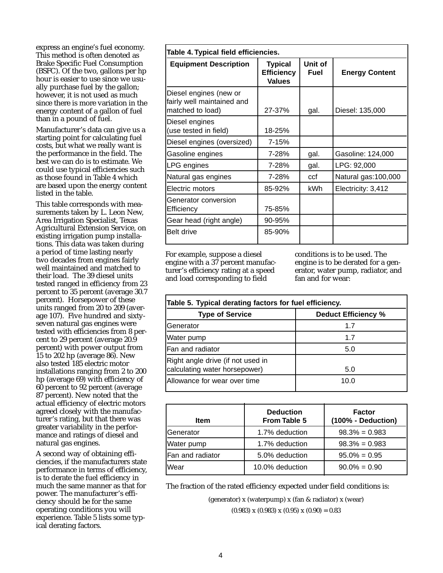express an engine's fuel economy. This method is often denoted as Brake Specific Fuel Consumption (BSFC). Of the two, gallons per hp hour is easier to use since we usually purchase fuel by the gallon; however, it is not used as much since there is more variation in the energy content of a gallon of fuel than in a pound of fuel.

Manufacturer's data can give us a starting point for calculating fuel costs, but what we really want is the performance in the field. The best we can do is to estimate. We could use typical efficiencies such as those found in Table 4 which are based upon the energy content listed in the table.

This table corresponds with measurements taken by L. Leon New, Area Irrigation Specialist, Texas Agricultural Extension Service, on existing irrigation pump installations. This data was taken during a period of time lasting nearly two decades from engines fairly well maintained and matched to their load. The 39 diesel units tested ranged in efficiency from 23 percent to 35 percent (average 30.7 percent). Horsepower of these units ranged from 20 to 209 (average 107). Five hundred and sixtyseven natural gas engines were tested with efficiencies from 8 percent to 29 percent (average 20.9 percent) with power output from 15 to 202 hp (average 86). New also tested 185 electric motor installations ranging from 2 to 200 hp (average 69) with efficiency of 60 percent to 92 percent (average 87 percent). New noted that the actual efficiency of electric motors agreed closely with the manufacturer's rating, but that there was greater variability in the performance and ratings of diesel and natural gas engines.

A second way of obtaining efficiencies, if the manufacturers state performance in terms of efficiency, is to derate the fuel efficiency in much the same manner as that for power. The manufacturer's efficiency should be for the same operating conditions you will experience. Table 5 lists some typical derating factors.

| Table 4. Typical field efficiencies.                                     |                                                      |                 |                       |  |
|--------------------------------------------------------------------------|------------------------------------------------------|-----------------|-----------------------|--|
| <b>Equipment Description</b>                                             | <b>Typical</b><br><b>Efficiency</b><br><b>Values</b> | Unit of<br>Fuel | <b>Energy Content</b> |  |
| Diesel engines (new or<br>fairly well maintained and<br>matched to load) | 27-37%                                               | gal.            | Diesel: 135,000       |  |
| Diesel engines<br>(use tested in field)                                  | 18-25%                                               |                 |                       |  |
| Diesel engines (oversized)                                               | $7 - 15%$                                            |                 |                       |  |
| Gasoline engines                                                         | 7-28%                                                | gal.            | Gasoline: 124,000     |  |
| LPG engines                                                              | 7-28%                                                | gal.            | LPG: 92,000           |  |
| Natural gas engines                                                      | 7-28%                                                | ccf             | Natural gas: 100,000  |  |
| Electric motors                                                          | 85-92%                                               | kWh             | Electricity: 3,412    |  |
| Generator conversion<br>Efficiency                                       | 75-85%                                               |                 |                       |  |
| Gear head (right angle)                                                  | 90-95%                                               |                 |                       |  |
| Belt drive                                                               | 85-90%                                               |                 |                       |  |

For example, suppose a diesel engine with a 37 percent manufacturer's efficiency rating at a speed and load corresponding to field

conditions is to be used. The engine is to be derated for a generator, water pump, radiator, and fan and for wear:

| Table 5. Typical derating factors for fuel efficiency.             |                            |  |  |
|--------------------------------------------------------------------|----------------------------|--|--|
| <b>Type of Service</b>                                             | <b>Deduct Efficiency %</b> |  |  |
| Generator                                                          | 1.7                        |  |  |
| Water pump                                                         | 1.7                        |  |  |
| Fan and radiator                                                   | 5.0                        |  |  |
| Right angle drive (if not used in<br>calculating water horsepower) | 5.0                        |  |  |
| Allowance for wear over time                                       | 10.0                       |  |  |

| Item             | <b>Deduction</b><br><b>From Table 5</b> | <b>Factor</b><br>$(100% - Deduction)$ |
|------------------|-----------------------------------------|---------------------------------------|
| IGenerator       | 1.7% deduction                          | $98.3\% = 0.983$                      |
| Water pump       | 1.7% deduction                          | $98.3\% = 0.983$                      |
| Fan and radiator | 5.0% deduction                          | $95.0\% = 0.95$                       |
| Wear             | 10.0% deduction                         | $90.0\% = 0.90$                       |

The fraction of the rated efficiency expected under field conditions is:

(generator) x (waterpump) x (fan & radiator) x (wear)  $(0.983)$  x  $(0.983)$  x  $(0.95)$  x  $(0.90) = 0.83$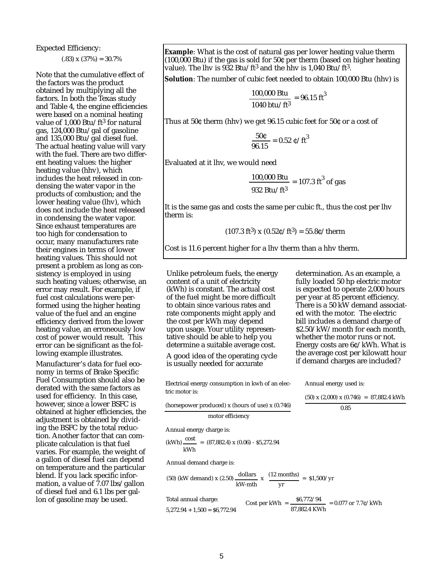Expected Efficiency:

 $(.83)$  x  $(37%) = 30.7%$ 

Note that the cumulative effect of the factors was the product obtained by multiplying all the factors. In both the Texas study and Table 4, the engine efficiencies were based on a nominal heating value of 1,000 Btu/ft<sup>3</sup> for natural gas, 124,000 Btu/gal of gasoline and 135,000 Btu/gal diesel fuel. The actual heating value will vary with the fuel. There are two different heating values: the higher heating value (hhv), which includes the heat released in condensing the water vapor in the products of combustion; and the lower heating value (lhv), which does not include the heat released in condensing the water vapor. Since exhaust temperatures are too high for condensation to occur, many manufacturers rate their engines in terms of lower heating values. This should not present a problem as long as consistency is employed in using such heating values; otherwise, an error may result. For example, if fuel cost calculations were performed using the higher heating value of the fuel and an engine efficiency derived from the lower heating value, an erroneously low cost of power would result. This error can be significant as the following example illustrates.

Manufacturer's data for fuel economy in terms of Brake Specific Fuel Consumption should also be derated with the same factors as used for efficiency. In this case, however, since a lower BSFC is obtained at higher efficiencies, the adjustment is obtained by dividing the BSFC by the total reduction. Another factor that can complicate calculation is that fuel varies. For example, the weight of a gallon of diesel fuel can depend on temperature and the particular blend. If you lack specific information, a value of 7.07 lbs/gallon of diesel fuel and 6.1 lbs per gallon of gasoline may be used.

**Example**: What is the cost of natural gas per lower heating value therm  $(100,000$  Btu) if the gas is sold for 50 $\circ$  per therm (based on higher heating value). The lhv is  $932 \text{ Btu/ft}^3$  and the hhv is 1,040 Btu/ft<sup>3</sup>.

**Solution**: The number of cubic feet needed to obtain 100,000 Btu (hhv) is

$$
\frac{100,000 \text{ Btu}}{1040 \text{ btu}/\text{ft}^3} = 96.15 \text{ ft}^3
$$

Thus at 50¢ therm (hhv) we get 96.15 cubic feet for 50¢ or a cost of

$$
\frac{50c}{96.15} = 0.52 \text{ c/ft}^3
$$

Evaluated at it lhv, we would need

 $\frac{100,000 \text{ Btu}}{2}$  = 107.3 ft<sup>3</sup> of gas  $932 \; \mathrm{B}$ tu/ft $^3$ 

It is the same gas and costs the same per cubic ft., thus the cost per lhv therm is:

 $(107.3 \text{ ft}^3) \times (0.52 \text{c}/\text{ft}^3) = 55.8 \text{c}/\text{therm}$ 

Cost is 11.6 percent higher for a lhv therm than a hhv therm.

Unlike petroleum fuels, the energy content of a unit of electricity (kWh) is constant. The actual cost of the fuel might be more difficult to obtain since various rates and rate components might apply and the cost per kWh may depend upon usage. Your utility representative should be able to help you determine a suitable average cost.

A good idea of the operating cycle is usually needed for accurate

Electrical energy consumption in kwh of an electric motor is:

|                                                                                                                                                    | $(50)$ x $(2,000)$ x $(0.746)$ = 87,882.4 kWh            |  |  |
|----------------------------------------------------------------------------------------------------------------------------------------------------|----------------------------------------------------------|--|--|
| (horsepower produced) x (hours of use) x $(0.746)$                                                                                                 | 0.85                                                     |  |  |
| motor efficiency                                                                                                                                   |                                                          |  |  |
| Annual energy charge is:                                                                                                                           |                                                          |  |  |
| (kWh) $\frac{\text{cost}}{\text{1.5}}$ = (87,882.4) x (0.06) - \$5,272.94<br>kWh                                                                   |                                                          |  |  |
| Annual demand charge is:                                                                                                                           |                                                          |  |  |
| (50) (kW demand) x (2.50) $\frac{\text{dollars}}{\text{collars}}$ x $\frac{(12 \text{ months})}{(12 \text{ months})}$ = \$1,500/yr<br>kW-mth<br>vr |                                                          |  |  |
| Total annual charge:                                                                                                                               | Cost per kWh = $\frac{$6,772/94}{9}$ = 0.077 or 7.7c/kWh |  |  |
| $5,272.94 + 1,500 = $6,772.94$                                                                                                                     | 87.882.4 KWh                                             |  |  |

fully loaded 50 hp electric motor is expected to operate 2,000 hours per year at 85 percent efficiency. There is a 50 kW demand associated with the motor. The electric bill includes a demand charge of \$2.50/kW/month for each month, whether the motor runs or not. Energy costs are 6¢/kWh. What is the average cost per kilowatt hour if demand charges are included?

determination. As an example, a

Annual energy used is: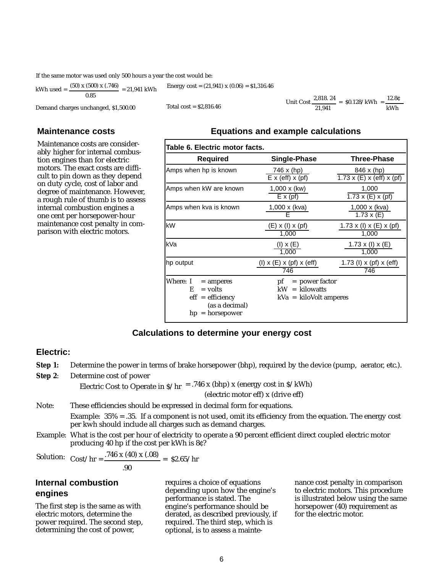If the same motor was used only 500 hours a year the cost would be:

kWh used =  $\frac{(50) \times (500) \times (.746)}{21,941}$  kWh 0.85 Energy cost =  $(21,941)$  x  $(0.06)$  = \$1,316.46

Demand charges unchanged, \$1,500.00

#### **Maintenance costs**

Maintenance costs are considerably higher for internal combustion engines than for electric motors. The exact costs are difficult to pin down as they depend on duty cycle, cost of labor and degree of maintenance. However, a rough rule of thumb is to assess internal combustion engines a one cent per horsepower-hour maintenance cost penalty in comparison with electric motors.

# Total cost = \$2,816.46

# **Equations and example calculations**

Unit Cost  $\frac{2,818.24}{4}$  = \$0.128/kWh =  $\frac{12.86}{4}$ 

21,941 kWh

| Table 6. Electric motor facts.                                                                                 |                                                                        |                                                          |
|----------------------------------------------------------------------------------------------------------------|------------------------------------------------------------------------|----------------------------------------------------------|
| Required                                                                                                       | <b>Single-Phase</b>                                                    | <b>Three-Phase</b>                                       |
| Amps when hp is known                                                                                          | 746 x (hp)<br>$\overline{E}$ x (eff) x (pf)                            | 846 x (hp)<br>$1.73 \times (E) \times (eff) \times (pf)$ |
| Amps when kW are known                                                                                         | $1,000 \times (kw)$<br>$E \times (pf)$                                 | 1,000<br>$\overline{1.73}$ x (E) x (pf)                  |
| Amps when kva is known                                                                                         | 1,000 x (kva)<br>F                                                     | $1,000 \times (kva)$<br>$1.73 \times (E)$                |
| kW                                                                                                             | $(E)$ x (I) x (pf)<br>1,000                                            | 1.73 x (I) x (E) x (pf)<br>1,000                         |
| kVa                                                                                                            | $(I) \times (E)$<br>1,000                                              | 1.73 x (l) x (E)<br>1,000                                |
| hp output                                                                                                      | $(I) \times (E) \times (pf) \times (eff)$<br>746                       | 1.73 (I) $x$ (pf) $x$ (eff)<br>746                       |
| Where: I<br>$= amperes$<br>$=$ volts<br>E.<br>$\text{eff}$ = efficiency<br>(as a decimal)<br>$hp =$ horsepower | $=$ power factor<br>pf<br>$kW = kilowatts$<br>$kVa = kiloVolt amperes$ |                                                          |

#### **Calculations to determine your energy cost**

#### **Electric:**

- **Step 1:** Determine the power in terms of brake horsepower (bhp), required by the device (pump, aerator, etc.).
- **Step 2**: Determine cost of power

Electric Cost to Operate in  $\frac{\pi}{46}$  x (bhp) x (energy cost in  $\frac{\pi}{8}$  kWh)

(electric motor eff) x (drive eff)

- Note: These efficiencies should be expressed in decimal form for equations. Example: 35% = .35. If a component is not used, omit its efficiency from the equation. The energy cost per kwh should include all charges such as demand charges.
- Example: What is the cost per hour of electricity to operate a 90 percent efficient direct coupled electric motor producing 40 hp if the cost per kWh is 8¢?<br> $(40)$  (90)

Solution: 
$$
\text{Cost/hr} = \frac{.746 \times (40) \times (.08)}{.90} = 82.65/\text{hr}
$$

# **Internal combustion engines**

The first step is the same as with electric motors, determine the power required. The second step, determining the cost of power,

requires a choice of equations depending upon how the engine's performance is stated. The engine's performance should be derated, as described previously, if required. The third step, which is optional, is to assess a mainte-

nance cost penalty in comparison to electric motors. This procedure is illustrated below using the same horsepower (40) requirement as for the electric motor.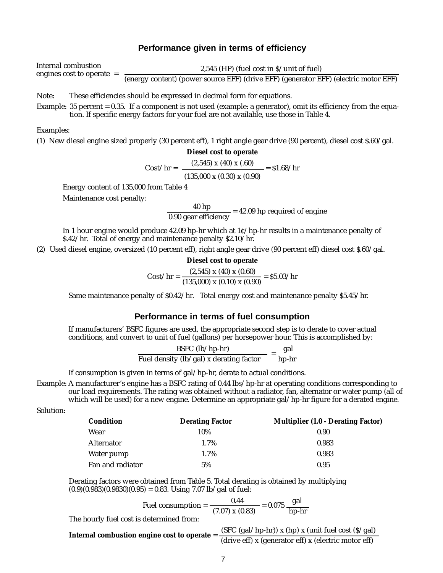# **Performance given in terms of efficiency**

Internal combustion<br>engines cost to operate = engines cost to operate =  $\frac{2,545 \text{ (HP)}\text{ (fuel cost in $/} \text{ unit of fuel})}{\text{(energy content) (power source EFF)}\text{ (drive EFF)}\text{ (generator EFF)}\text{ (electric motor EFF)}}$ 

Note: These efficiencies should be expressed in decimal form for equations.

Example: 35 percent = 0.35. If a component is not used (example: a generator), omit its efficiency from the equation. If specific energy factors for your fuel are not available, use those in Table 4.

Examples:

(1) New diesel engine sized properly (30 percent eff), 1 right angle gear drive (90 percent), diesel cost \$.60/gal.

#### **Diesel cost to operate**

Cost/hr = 
$$
\frac{(2,545) \times (40) \times (.60)}{(135,000 \times (0.30) \times (0.90))} = $1.68/hr
$$

Energy content of 135,000 from Table 4

Maintenance cost penalty:

 $\frac{40 \text{ H}}{0.90 \text{ gear efficiency}}$  = 42.09 hp required of engine

In 1 hour engine would produce 42.09 hp-hr which at 1¢/hp-hr results in a maintenance penalty of \$.42/hr. Total of energy and maintenance penalty \$2.10/hr.

(2) Used diesel engine, oversized (10 percent eff), right angle gear drive (90 percent eff) diesel cost \$.60/gal.

**Diesel cost to operate**

$$
Cost/hr = \frac{(2,545) \times (40) \times (0.60)}{(135,000) \times (0.10) \times (0.90)} = $5.03/hr
$$

Same maintenance penalty of \$0.42/hr. Total energy cost and maintenance penalty \$5.45/hr.

#### **Performance in terms of fuel consumption**

If manufacturers' BSFC figures are used, the appropriate second step is to derate to cover actual conditions, and convert to unit of fuel (gallons) per horsepower hour. This is accomplished by:

 $\frac{\text{BSFC (lb/hp-hr)}}{\text{Fuel density (lb/gal) x derating factor}} = \frac{\text{gal}}{\text{hp-hr}}$ 

If consumption is given in terms of gal/hp-hr, derate to actual conditions.

Example: A manufacturer's engine has a BSFC rating of 0.44 lbs/hp-hr at operating conditions corresponding to our load requirements. The rating was obtained without a radiator, fan, alternator or water pump (all of which will be used) for a new engine. Determine an appropriate gal/hp-hr figure for a derated engine.

Solution:

| <b>Condition</b> | <b>Derating Factor</b> | <b>Multiplier (1.0 - Derating Factor)</b> |
|------------------|------------------------|-------------------------------------------|
| Wear             | 10%                    | 0.90                                      |
| Alternator       | 1.7%                   | 0.983                                     |
| Water pump       | 1.7%                   | 0.983                                     |
| Fan and radiator | 5%                     | 0.95                                      |

Derating factors were obtained from Table 5. Total derating is obtained by multiplying  $(0.9)(0.983)(0.9830)(0.95) = 0.83$ . Using 7.07 lb/gal of fuel:

Full consumption = 
$$
\frac{0.44}{(7.07) \times (0.83)} = 0.075 \frac{\text{gal}}{\text{hp-hr}}
$$

The hourly fuel cost is determined from:

**Internal combustion engine cost to operate** =  $\frac{(SFC (gal/hp-hr)) x (hp) x (unit fuel cost (S/gal))}{(1 + \frac{1}{2}) (1 + \frac{1}{2}) (1 + \frac{1}{2}) (1 + \frac{1}{2}) (1 + \frac{1}{2}) (1 + \frac{1}{2}) (1 + \frac{1}{2}) (1 + \frac{1}{2}) (1 + \frac{1}{2}) (1 + \frac{1}{2}) (1 + \frac{1}{2}) (1 + \frac{1}{2}) (1 + \frac{1}{2}) (1 + \frac{1}{2}) (1 + \frac{$ (drive eff) x (generator eff) x (electric motor eff)